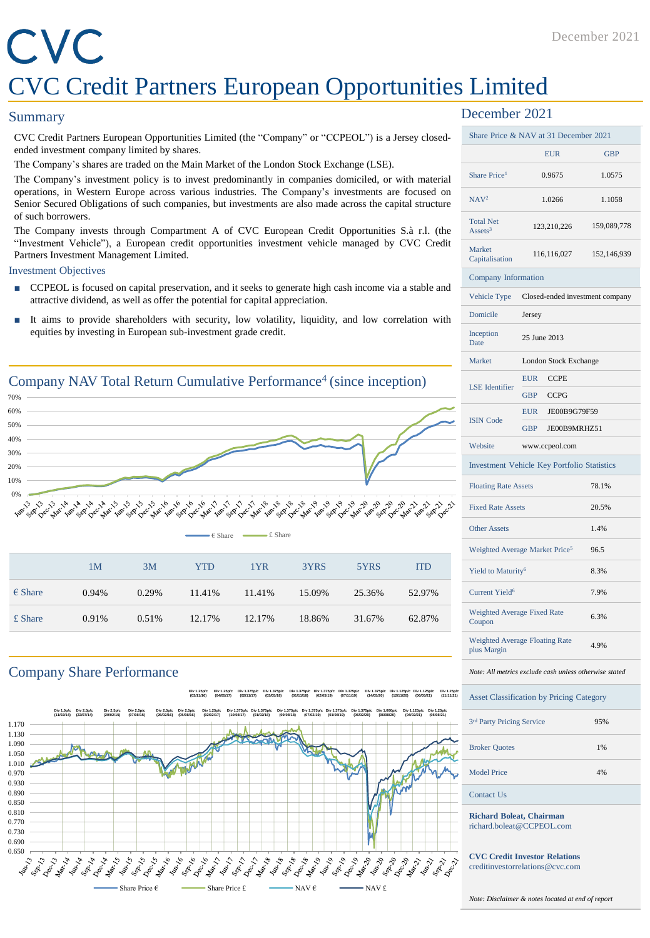#### December 2021

## CVC CVC Credit Partners European Opportunities Limited

#### **Summary**

CVC Credit Partners European Opportunities Limited (the "Company" or "CCPEOL") is a Jersey closedended investment company limited by shares.

The Company's shares are traded on the Main Market of the London Stock Exchange (LSE).

The Company's investment policy is to invest predominantly in companies domiciled, or with material operations, in Western Europe across various industries. The Company's investments are focused on Senior Secured Obligations of such companies, but investments are also made across the capital structure of such borrowers.

The Company invests through Compartment A of CVC European Credit Opportunities S.à r.l. (the "Investment Vehicle"), a European credit opportunities investment vehicle managed by CVC Credit Partners Investment Management Limited.

#### Investment Objectives

- CCPEOL is focused on capital preservation, and it seeks to generate high cash income via a stable and attractive dividend, as well as offer the potential for capital appreciation.
- It aims to provide shareholders with security, low volatility, liquidity, and low correlation with equities by investing in European sub-investment grade credit.



#### Company Share Performance

**Div 1.25p/c (03/11/16) Div 1.25p/c (04/05/17) Div 1.375p/c (02/11/17) Div 1.375p/c (03/05/18) Div 1.375p/c (01/11/18) Div 1.375p/c (02/05/19) Div 1.375p/c (07/11/19) Div 1.375p/c (14/05/20) Div 1.125p/c (12/11/20) Div 1.125p/c (06/05/21) Div 1.25p/c (11/11/21)**



#### December 2021

|                                         | Share Price & NAV at 31 December 2021                  |             |
|-----------------------------------------|--------------------------------------------------------|-------------|
|                                         | <b>EUR</b>                                             | <b>GBP</b>  |
| Share Price <sup>1</sup>                | 0.9675                                                 | 1.0575      |
| NAV <sup>2</sup>                        | 1.0266                                                 | 1.1058      |
| <b>Total Net</b><br>Assets <sup>3</sup> | 123,210,226                                            | 159,089,778 |
| Market<br>Capitalisation                | 116,116,027                                            | 152,146,939 |
| Company Information                     |                                                        |             |
| Vehicle Type                            | Closed-ended investment company                        |             |
| Domicile                                | Jersey                                                 |             |
| Inception<br>Date                       | 25 June 2013                                           |             |
| Market                                  | London Stock Exchange                                  |             |
| <b>LSE</b> Identifier                   | <b>EUR</b><br><b>CCPE</b>                              |             |
|                                         | <b>GBP</b><br><b>CCPG</b>                              |             |
| <b>ISIN Code</b>                        | <b>EUR</b><br>JE00B9G79F59                             |             |
|                                         | <b>GBP</b><br>JE00B9MRHZ51                             |             |
| Website                                 | www.ccpeol.com                                         |             |
|                                         | <b>Investment Vehicle Key Portfolio Statistics</b>     |             |
| <b>Floating Rate Assets</b>             |                                                        | 78.1%       |
| <b>Fixed Rate Assets</b>                |                                                        | 20.5%       |
| <b>Other Assets</b>                     |                                                        | 1.4%        |
|                                         | Weighted Average Market Price <sup>5</sup>             | 96.5        |
| Yield to Maturity <sup>6</sup>          |                                                        | 8.3%        |
| Current Yield <sup>6</sup>              |                                                        | 7.9%        |
| Weighted Average Fixed Rate<br>Coupon   |                                                        | 6.3%        |
| plus Margin                             | Weighted Average Floating Rate                         | 4.9%        |
|                                         | Note: All metrics exclude cash unless otherwise stated |             |
|                                         | <b>Asset Classification by Pricing Category</b>        |             |

| 3 <sup>rd</sup> Party Pricing Service | 95% |
|---------------------------------------|-----|
| <b>Broker Quotes</b>                  | 1%  |
| <b>Model Price</b>                    | 4%  |
|                                       |     |

#### Contact Us

**Richard Boleat, Chairman** richard.boleat@CCPEOL.com

**CVC Credit Investor Relations** creditinvestorrelations@cvc.com

*Note: Disclaimer & notes located at end of report*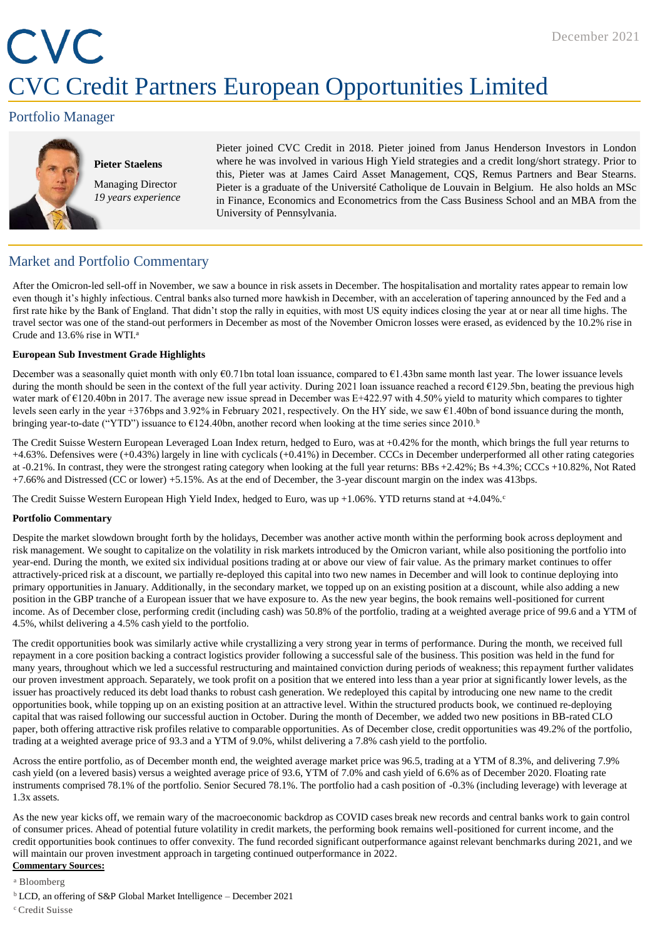## CVC CVC Credit Partners European Opportunities Limited

#### Portfolio Manager



**Pieter Staelens** Managing Director *19 years experience* Pieter joined CVC Credit in 2018. Pieter joined from Janus Henderson Investors in London where he was involved in various High Yield strategies and a credit long/short strategy. Prior to this, Pieter was at James Caird Asset Management, CQS, Remus Partners and Bear Stearns. Pieter is a graduate of the Université Catholique de Louvain in Belgium. He also holds an MSc in Finance, Economics and Econometrics from the Cass Business School and an MBA from the University of Pennsylvania.

#### Market and Portfolio Commentary

After the Omicron-led sell-off in November, we saw a bounce in risk assets in December. The hospitalisation and mortality rates appear to remain low even though it's highly infectious. Central banks also turned more hawkish in December, with an acceleration of tapering announced by the Fed and a first rate hike by the Bank of England. That didn't stop the rally in equities, with most US equity indices closing the year at or near all time highs. The travel sector was one of the stand-out performers in December as most of the November Omicron losses were erased, as evidenced by the 10.2% rise in Crude and 13.6% rise in WTI.<sup>a</sup>

#### **European Sub Investment Grade Highlights**

December was a seasonally quiet month with only €0.71bn total loan issuance, compared to €1.43bn same month last year. The lower issuance levels during the month should be seen in the context of the full year activity. During 2021 loan issuance reached a record €129.5bn, beating the previous high water mark of €120.40bn in 2017. The average new issue spread in December was E+422.97 with 4.50% yield to maturity which compares to tighter levels seen early in the year +376bps and 3.92% in February 2021, respectively. On the HY side, we saw  $\epsilon$ 1.40bn of bond issuance during the month, bringing year-to-date ("YTD") issuance to  $\epsilon$ 124.40bn, another record when looking at the time series since 2010.<sup>b</sup>

The Credit Suisse Western European Leveraged Loan Index return, hedged to Euro, was at +0.42% for the month, which brings the full year returns to +4.63%. Defensives were (+0.43%) largely in line with cyclicals (+0.41%) in December. CCCs in December underperformed all other rating categories at -0.21%. In contrast, they were the strongest rating category when looking at the full year returns: BBs +2.42%; Bs +4.3%; CCCs +10.82%, Not Rated +7.66% and Distressed (CC or lower) +5.15%. As at the end of December, the 3-year discount margin on the index was 413bps.

The Credit Suisse Western European High Yield Index, hedged to Euro, was up +1.06%. YTD returns stand at +4.04%.

#### **Portfolio Commentary**

Despite the market slowdown brought forth by the holidays, December was another active month within the performing book across deployment and risk management. We sought to capitalize on the volatility in risk markets introduced by the Omicron variant, while also positioning the portfolio into year-end. During the month, we exited six individual positions trading at or above our view of fair value. As the primary market continues to offer attractively-priced risk at a discount, we partially re-deployed this capital into two new names in December and will look to continue deploying into primary opportunities in January. Additionally, in the secondary market, we topped up on an existing position at a discount, while also adding a new position in the GBP tranche of a European issuer that we have exposure to. As the new year begins, the book remains well-positioned for current income. As of December close, performing credit (including cash) was 50.8% of the portfolio, trading at a weighted average price of 99.6 and a YTM of 4.5%, whilst delivering a 4.5% cash yield to the portfolio.

The credit opportunities book was similarly active while crystallizing a very strong year in terms of performance. During the month, we received full repayment in a core position backing a contract logistics provider following a successful sale of the business. This position was held in the fund for many years, throughout which we led a successful restructuring and maintained conviction during periods of weakness; this repayment further validates our proven investment approach. Separately, we took profit on a position that we entered into less than a year prior at significantly lower levels, as the issuer has proactively reduced its debt load thanks to robust cash generation. We redeployed this capital by introducing one new name to the credit opportunities book, while topping up on an existing position at an attractive level. Within the structured products book, we continued re-deploying capital that was raised following our successful auction in October. During the month of December, we added two new positions in BB-rated CLO paper, both offering attractive risk profiles relative to comparable opportunities. As of December close, credit opportunities was 49.2% of the portfolio, trading at a weighted average price of 93.3 and a YTM of 9.0%, whilst delivering a 7.8% cash yield to the portfolio.

Across the entire portfolio, as of December month end, the weighted average market price was 96.5, trading at a YTM of 8.3%, and delivering 7.9% cash yield (on a levered basis) versus a weighted average price of 93.6, YTM of 7.0% and cash yield of 6.6% as of December 2020. Floating rate instruments comprised 78.1% of the portfolio. Senior Secured 78.1%. The portfolio had a cash position of -0.3% (including leverage) with leverage at 1.3x assets.

As the new year kicks off, we remain wary of the macroeconomic backdrop as COVID cases break new records and central banks work to gain control of consumer prices. Ahead of potential future volatility in credit markets, the performing book remains well-positioned for current income, and the credit opportunities book continues to offer convexity. The fund recorded significant outperformance against relevant benchmarks during 2021, and we will maintain our proven investment approach in targeting continued outperformance in 2022. **Commentary Sources:**

#### <sup>a</sup> Bloomberg

- <sup>b</sup>LCD, an offering of S&P Global Market Intelligence December 2021
- <sup>c</sup> Credit Suisse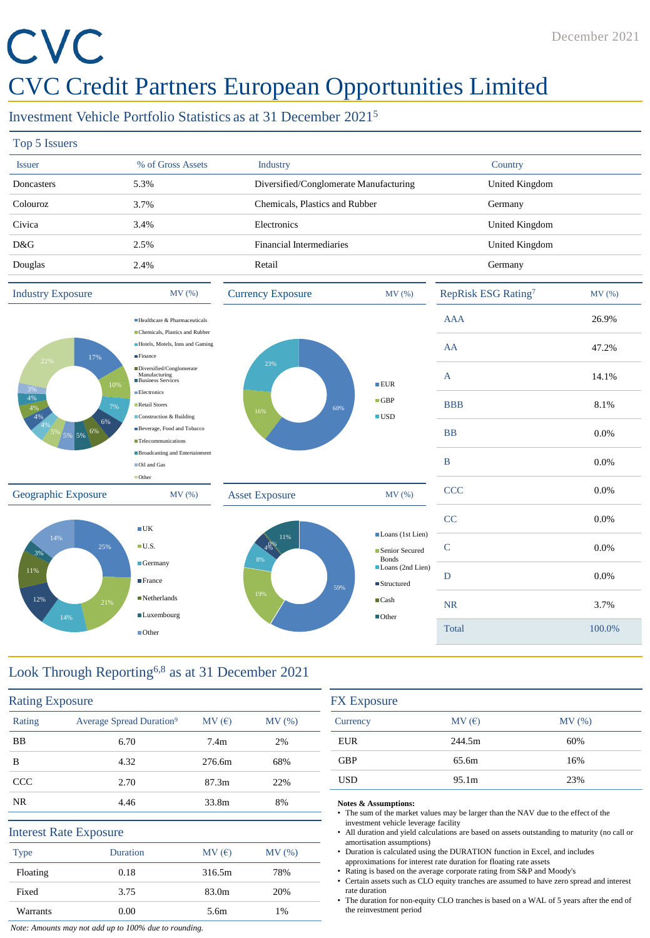# CVC

### CVC Credit Partners European Opportunities Limited

#### Investment Vehicle Portfolio Statistics as at 31 December 2021<sup>5</sup>

| Top 5 Issuers |                   |                                        |                |
|---------------|-------------------|----------------------------------------|----------------|
| <b>Issuer</b> | % of Gross Assets | Industry                               | Country        |
| Doncasters    | 5.3%              | Diversified/Conglomerate Manufacturing | United Kingdom |
| Colouroz      | 3.7%              | Chemicals, Plastics and Rubber         | Germany        |
| Civica        | 3.4%              | Electronics                            | United Kingdom |
| D&G           | 2.5%              | Financial Intermediaries               | United Kingdom |
| Douglas       | 2.4%              | Retail                                 | Germany        |
|               |                   |                                        |                |



| MV (%)                                                                                | RepRisk ESG Rating <sup>7</sup> | MV (%) |
|---------------------------------------------------------------------------------------|---------------------------------|--------|
|                                                                                       | <b>AAA</b>                      | 26.9%  |
|                                                                                       | AA                              | 47.2%  |
| ■EUR                                                                                  | A                               | 14.1%  |
| $\blacksquare$ GBP<br>$\blacksquare$ USD                                              | <b>BBB</b>                      | 8.1%   |
|                                                                                       | <b>BB</b>                       | 0.0%   |
|                                                                                       | B                               | 0.0%   |
| MV (%)                                                                                | <b>CCC</b>                      | 0.0%   |
|                                                                                       | CC                              | 0.0%   |
| Loans (1st Lien)<br>Senior Secured<br><b>Bonds</b><br>Loans (2nd Lien)<br>■Structured | $\mathsf{C}$                    | 0.0%   |
|                                                                                       | D                               | 0.0%   |
| $\blacksquare$ Cash                                                                   | <b>NR</b>                       | 3.7%   |
| $\blacksquare$ Other                                                                  | Total                           | 100.0% |
|                                                                                       |                                 |        |

#### Look Through Reporting6,8 as at 31 December 2021

Germany **France** ■Netherlands **Luxembourg** ■Other

| <b>Rating Exposure</b> |                                      |                   |       |
|------------------------|--------------------------------------|-------------------|-------|
| Rating                 | Average Spread Duration <sup>9</sup> | MV(E)             | MV(%) |
| <b>BB</b>              | 6.70                                 | 7.4 <sub>m</sub>  | 2%    |
| B                      | 4.32                                 | 276.6m            | 68%   |
| <b>CCC</b>             | 2.70                                 | 87.3 <sub>m</sub> | 22%   |
| <b>NR</b>              | 4.46                                 | 33.8m             | 8%    |
|                        | <b>Interest Rate Exposure</b>        |                   |       |
| <b>Type</b>            | Duration                             | MV(E)             | MV(%) |
| Floating               | 0.18                                 | 316.5m            | 78%   |
| Fixed                  | 3.75                                 | 83.0m             | 20%   |
| Warrants               | 0.00                                 | 5.6m              | 1%    |

| <b>FX</b> Exposure |                   |       |
|--------------------|-------------------|-------|
| Currency           | MV(E)             | MV(%) |
| <b>EUR</b>         | 244.5m            | 60%   |
| <b>GBP</b>         | 65.6m             | 16%   |
| <b>USD</b>         | 95.1 <sub>m</sub> | 23%   |

#### **Notes & Assumptions:**

59%

- The sum of the market values may be larger than the NAV due to the effect of the investment vehicle leverage facility
- All duration and yield calculations are based on assets outstanding to maturity (no call or amortisation assumptions)
- Duration is calculated using the DURATION function in Excel, and includes approximations for interest rate duration for floating rate assets
- Rating is based on the average corporate rating from S&P and Moody's
- Certain assets such as CLO equity tranches are assumed to have zero spread and interest rate duration
- The duration for non-equity CLO tranches is based on a WAL of 5 years after the end of the reinvestment period

*Note: Amounts may not add up to 100% due to rounding.*

12%

3%